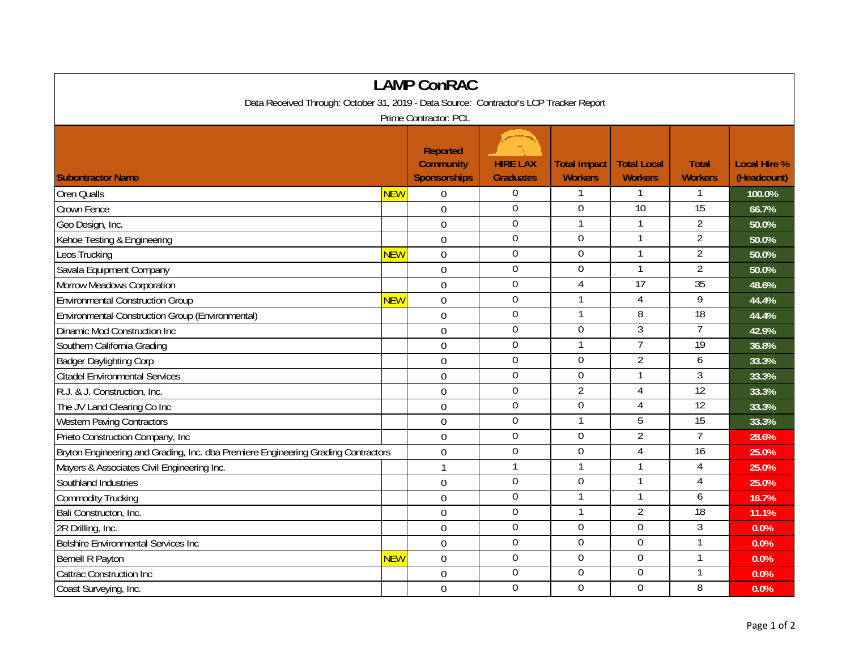| <b>LAMP ConRAC</b>                                                                     |            |                                                            |                                     |                                       |                                      |                                |                                    |  |  |  |  |  |
|----------------------------------------------------------------------------------------|------------|------------------------------------------------------------|-------------------------------------|---------------------------------------|--------------------------------------|--------------------------------|------------------------------------|--|--|--|--|--|
| Data Received Through: October 31, 2019 - Data Source: Contractor's LCP Tracker Report |            |                                                            |                                     |                                       |                                      |                                |                                    |  |  |  |  |  |
| Prime Contractor: PCL                                                                  |            |                                                            |                                     |                                       |                                      |                                |                                    |  |  |  |  |  |
| <b>Subontractor Name</b>                                                               |            | <b>Reported</b><br><b>Community</b><br><b>Sponsorships</b> | <b>HIRE LAX</b><br><b>Graduates</b> | <b>Total Impact</b><br><b>Workers</b> | <b>Total Local</b><br><b>Workers</b> | <b>Total</b><br><b>Workers</b> | <b>Local Hire %</b><br>(Headcount) |  |  |  |  |  |
| <b>Oren Qualls</b>                                                                     | NEW        | $\theta$                                                   | $\mathbf 0$                         | 1                                     |                                      |                                | 100.0%                             |  |  |  |  |  |
| Crown Fence                                                                            |            | $\mathbf 0$                                                | $\mathbf 0$                         | $\overline{0}$                        | 10                                   | 15                             | 66.7%                              |  |  |  |  |  |
| Geo Design, Inc.                                                                       |            | $\mathbf 0$                                                | $\boldsymbol{0}$                    | $\mathbf{1}$                          |                                      | $\overline{2}$                 | 50.0%                              |  |  |  |  |  |
| Kehoe Testing & Engineering                                                            |            | $\overline{0}$                                             | $\mathbf 0$                         | 0                                     | $\mathbf{1}$                         | $\overline{2}$                 | 50.0%                              |  |  |  |  |  |
| Leos Trucking                                                                          | <b>NEW</b> | $\overline{0}$                                             | $\overline{0}$                      | $\mathbf 0$                           | $\mathbf{1}$                         | $\overline{2}$                 | 50.0%                              |  |  |  |  |  |
| Savala Equipment Company                                                               |            | $\mathbf 0$                                                | $\overline{0}$                      | $\overline{0}$                        | $\mathbf{1}$                         | $\overline{2}$                 | 50.0%                              |  |  |  |  |  |
| Morrow Meadows Corporation                                                             |            | $\mathbf 0$                                                | $\boldsymbol{0}$                    | 4                                     | $\overline{17}$                      | 35                             | 48.6%                              |  |  |  |  |  |
| <b>Environmental Construction Group</b>                                                | NEW        | $\mathbf 0$                                                | $\boldsymbol{0}$                    | 1                                     | 4                                    | 9                              | 44.4%                              |  |  |  |  |  |
| Environmental Construction Group (Environmental)                                       |            | $\overline{0}$                                             | $\mathbf 0$                         | $\mathbf{1}$                          | 8                                    | $\overline{18}$                | 44.4%                              |  |  |  |  |  |
| Dinamic Mod Construction Inc                                                           |            | 0                                                          | $\mathbf 0$                         | $\overline{0}$                        | $\overline{3}$                       | $\overline{7}$                 | 42.9%                              |  |  |  |  |  |
| Southern California Grading                                                            |            | $\mathbf 0$                                                | $\mathbf 0$                         |                                       | $\overline{7}$                       | 19                             | 36.8%                              |  |  |  |  |  |
| <b>Badger Daylighting Corp</b>                                                         |            | 0                                                          | $\mathbf 0$                         | $\mathbf 0$                           | $\overline{2}$                       | 6                              | 33.3%                              |  |  |  |  |  |
| <b>Citadel Environmental Services</b>                                                  |            | $\overline{0}$                                             | $\boldsymbol{0}$                    | $\mathbf 0$                           | $\mathbf{1}$                         | $\mathfrak{Z}$                 | 33.3%                              |  |  |  |  |  |
| R.J. & J. Construction, Inc.                                                           |            | $\theta$                                                   | $\mathbf 0$                         | $\overline{2}$                        | $\overline{4}$                       | $\overline{12}$                | 33.3%                              |  |  |  |  |  |
| The JV Land Clearing Co Inc                                                            |            | $\mathbf 0$                                                | $\boldsymbol{0}$                    | $\overline{0}$                        | 4                                    | 12                             | 33.3%                              |  |  |  |  |  |
| <b>Western Paving Contractors</b>                                                      |            | $\mathbf 0$                                                | $\Omega$                            | $\mathbf{1}$                          | 5                                    | 15                             | 33.3%                              |  |  |  |  |  |
| Prieto Construction Company, Inc                                                       |            | $\mathbf 0$                                                | $\mathbf 0$                         | 0                                     | $\overline{2}$                       | $\overline{7}$                 | 28.6%                              |  |  |  |  |  |
| Bryton Engineering and Grading, Inc. dba Premiere Engineering Grading Contractors      |            | $\mathbf 0$                                                | $\mathbf 0$                         | 0                                     | $\overline{4}$                       | $\overline{16}$                | 25.0%                              |  |  |  |  |  |
| Mayers & Associates Civil Engineering Inc.                                             |            | $\mathbf{1}$                                               | $\overline{1}$                      |                                       |                                      | $\overline{4}$                 | 25.0%                              |  |  |  |  |  |
| Southland Industries                                                                   |            | $\mathbf 0$                                                | $\mathbf 0$                         | $\overline{0}$                        | $\mathbf{1}$                         | 4                              | 25.0%                              |  |  |  |  |  |
| <b>Commodity Trucking</b>                                                              |            | $\overline{0}$                                             | $\boldsymbol{0}$                    | $\mathbf{1}$                          | -1                                   | 6                              | 16.7%                              |  |  |  |  |  |
| Bali Constructon, Inc.                                                                 |            | $\overline{0}$                                             | $\mathbf 0$                         | $\mathbf{1}$                          | $\overline{2}$                       | $\overline{18}$                | 11.1%                              |  |  |  |  |  |
| 2R Drilling, Inc.                                                                      |            | $\overline{0}$                                             | $\mathbf 0$                         | 0                                     | $\overline{0}$                       | $\overline{3}$                 | 0.0%                               |  |  |  |  |  |
| Belshire Environmental Services Inc                                                    |            | $\overline{0}$                                             | $\boldsymbol{0}$                    | $\overline{0}$                        | $\overline{0}$                       |                                | 0.0%                               |  |  |  |  |  |
| Bernell R Payton                                                                       | NEW        | $\mathbf 0$                                                | $\mathbf 0$                         | 0                                     | $\boldsymbol{0}$                     |                                | 0.0%                               |  |  |  |  |  |
| <b>Cattrac Construction Inc</b>                                                        |            | $\mathbf 0$                                                | $\mathbf 0$                         | 0                                     | 0                                    | $\mathbf{1}$                   | 0.0%                               |  |  |  |  |  |
| Coast Surveying, Inc.                                                                  |            | $\overline{0}$                                             | $\mathbf 0$                         | $\overline{0}$                        | $\overline{0}$                       | 8                              | 0.0%                               |  |  |  |  |  |